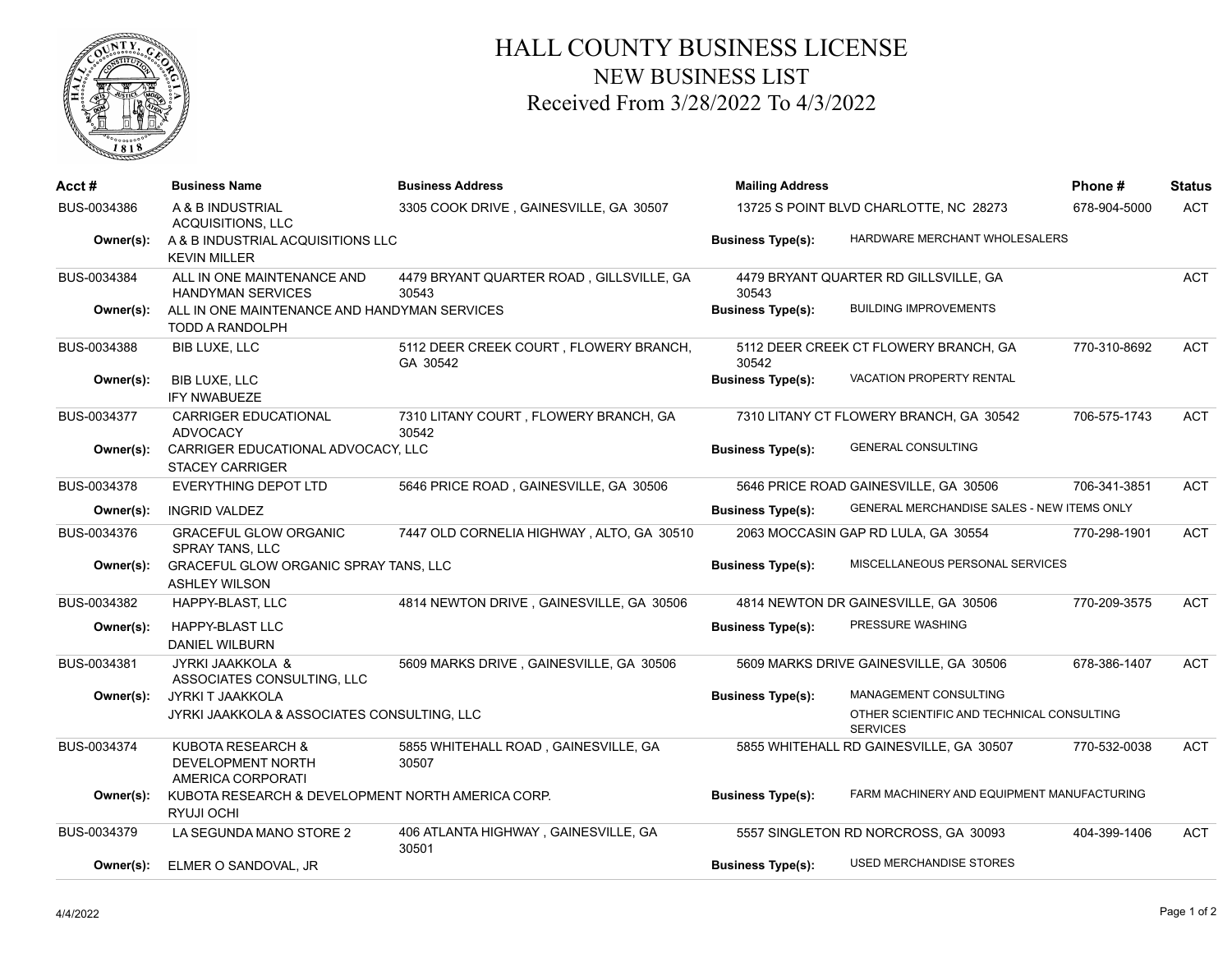

## HALL COUNTY BUSINESS LICENSE NEW BUSINESS LIST Received From 3/28/2022 To 4/3/2022

| Acct #      | <b>Business Name</b>                                                   | <b>Business Address</b>                            | <b>Mailing Address</b>                 |                                                              | Phone#       | <b>Status</b> |
|-------------|------------------------------------------------------------------------|----------------------------------------------------|----------------------------------------|--------------------------------------------------------------|--------------|---------------|
| BUS-0034386 | A & B INDUSTRIAL<br>ACQUISITIONS, LLC                                  | 3305 COOK DRIVE, GAINESVILLE, GA 30507             | 13725 S POINT BLVD CHARLOTTE, NC 28273 |                                                              | 678-904-5000 | <b>ACT</b>    |
| Owner(s):   | A & B INDUSTRIAL ACQUISITIONS LLC<br><b>KEVIN MILLER</b>               |                                                    | <b>Business Type(s):</b>               | HARDWARE MERCHANT WHOLESALERS                                |              |               |
| BUS-0034384 | ALL IN ONE MAINTENANCE AND<br><b>HANDYMAN SERVICES</b>                 | 4479 BRYANT QUARTER ROAD, GILLSVILLE, GA<br>30543  | 30543                                  | 4479 BRYANT QUARTER RD GILLSVILLE, GA                        |              | <b>ACT</b>    |
| Owner(s):   | ALL IN ONE MAINTENANCE AND HANDYMAN SERVICES<br><b>TODD A RANDOLPH</b> |                                                    | <b>Business Type(s):</b>               | <b>BUILDING IMPROVEMENTS</b>                                 |              |               |
| BUS-0034388 | <b>BIB LUXE, LLC</b>                                                   | 5112 DEER CREEK COURT, FLOWERY BRANCH,<br>GA 30542 | 30542                                  | 5112 DEER CREEK CT FLOWERY BRANCH, GA                        | 770-310-8692 | <b>ACT</b>    |
| Owner(s):   | <b>BIB LUXE, LLC</b><br><b>IFY NWABUEZE</b>                            |                                                    | <b>Business Type(s):</b>               | VACATION PROPERTY RENTAL                                     |              |               |
| BUS-0034377 | <b>CARRIGER EDUCATIONAL</b><br><b>ADVOCACY</b>                         | 7310 LITANY COURT, FLOWERY BRANCH, GA<br>30542     |                                        | 7310 LITANY CT FLOWERY BRANCH, GA 30542                      | 706-575-1743 | <b>ACT</b>    |
| Owner(s):   | CARRIGER EDUCATIONAL ADVOCACY, LLC<br><b>STACEY CARRIGER</b>           |                                                    | <b>Business Type(s):</b>               | <b>GENERAL CONSULTING</b>                                    |              |               |
| BUS-0034378 | EVERYTHING DEPOT LTD                                                   | 5646 PRICE ROAD, GAINESVILLE, GA 30506             |                                        | 5646 PRICE ROAD GAINESVILLE, GA 30506                        | 706-341-3851 | <b>ACT</b>    |
| Owner(s):   | <b>INGRID VALDEZ</b>                                                   |                                                    | <b>Business Type(s):</b>               | GENERAL MERCHANDISE SALES - NEW ITEMS ONLY                   |              |               |
| BUS-0034376 | <b>GRACEFUL GLOW ORGANIC</b><br><b>SPRAY TANS, LLC</b>                 | 7447 OLD CORNELIA HIGHWAY, ALTO, GA 30510          |                                        | 2063 MOCCASIN GAP RD LULA, GA 30554                          | 770-298-1901 | <b>ACT</b>    |
| Owner(s):   | GRACEFUL GLOW ORGANIC SPRAY TANS, LLC<br><b>ASHLEY WILSON</b>          |                                                    | <b>Business Type(s):</b>               | MISCELLANEOUS PERSONAL SERVICES                              |              |               |
| BUS-0034382 | HAPPY-BLAST, LLC                                                       | 4814 NEWTON DRIVE, GAINESVILLE, GA 30506           |                                        | 4814 NEWTON DR GAINESVILLE, GA 30506                         | 770-209-3575 | <b>ACT</b>    |
| Owner(s):   | <b>HAPPY-BLAST LLC</b><br><b>DANIEL WILBURN</b>                        |                                                    | <b>Business Type(s):</b>               | PRESSURE WASHING                                             |              |               |
| BUS-0034381 | JYRKI JAAKKOLA &<br>ASSOCIATES CONSULTING, LLC                         | 5609 MARKS DRIVE, GAINESVILLE, GA 30506            |                                        | 5609 MARKS DRIVE GAINESVILLE, GA 30506                       | 678-386-1407 | <b>ACT</b>    |
| Owner(s):   | JYRKI T JAAKKOLA                                                       |                                                    | <b>Business Type(s):</b>               | MANAGEMENT CONSULTING                                        |              |               |
|             | JYRKI JAAKKOLA & ASSOCIATES CONSULTING, LLC                            |                                                    |                                        | OTHER SCIENTIFIC AND TECHNICAL CONSULTING<br><b>SERVICES</b> |              |               |
| BUS-0034374 | KUBOTA RESEARCH &<br><b>DEVELOPMENT NORTH</b><br>AMERICA CORPORATI     | 5855 WHITEHALL ROAD, GAINESVILLE, GA<br>30507      |                                        | 5855 WHITEHALL RD GAINESVILLE, GA 30507                      | 770-532-0038 | <b>ACT</b>    |
| Owner(s):   | KUBOTA RESEARCH & DEVELOPMENT NORTH AMERICA CORP.<br><b>RYUJI OCHI</b> |                                                    | <b>Business Type(s):</b>               | FARM MACHINERY AND EQUIPMENT MANUFACTURING                   |              |               |
| BUS-0034379 | LA SEGUNDA MANO STORE 2                                                | 406 ATLANTA HIGHWAY, GAINESVILLE, GA<br>30501      |                                        | 5557 SINGLETON RD NORCROSS, GA 30093                         | 404-399-1406 | <b>ACT</b>    |
| Owner(s):   | ELMER O SANDOVAL, JR                                                   |                                                    | <b>Business Type(s):</b>               | <b>USED MERCHANDISE STORES</b>                               |              |               |